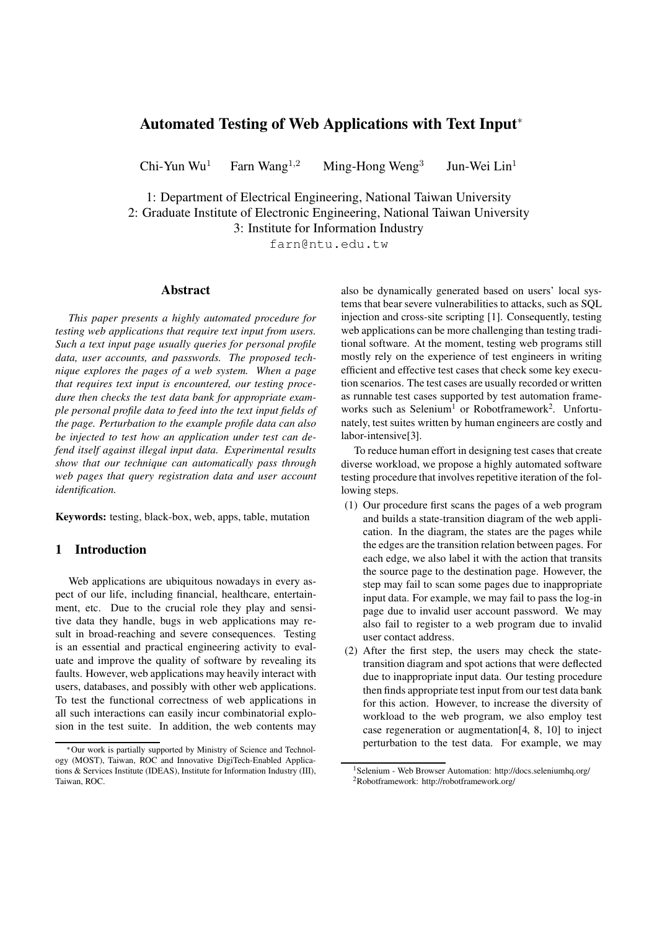# Automated Testing of Web Applications with Text Input<sup>∗</sup>

Chi-Yun Wu<sup>1</sup> Farn Wang<sup>1,2</sup> Ming-Hong Weng<sup>3</sup> Jun-Wei  $Lin<sup>1</sup>$ 

1: Department of Electrical Engineering, National Taiwan University 2: Graduate Institute of Electronic Engineering, National Taiwan University

3: Institute for Information Industry

farn@ntu.edu.tw

### Abstract

*This paper presents a highly automated procedure for testing web applications that require text input from users. Such a text input page usually queries for personal profile data, user accounts, and passwords. The proposed technique explores the pages of a web system. When a page that requires text input is encountered, our testing procedure then checks the test data bank for appropriate example personal profile data to feed into the text input fields of the page. Perturbation to the example profile data can also be injected to test how an application under test can defend itself against illegal input data. Experimental results show that our technique can automatically pass through web pages that query registration data and user account identification.*

Keywords: testing, black-box, web, apps, table, mutation

# 1 Introduction

Web applications are ubiquitous nowadays in every aspect of our life, including financial, healthcare, entertainment, etc. Due to the crucial role they play and sensitive data they handle, bugs in web applications may result in broad-reaching and severe consequences. Testing is an essential and practical engineering activity to evaluate and improve the quality of software by revealing its faults. However, web applications may heavily interact with users, databases, and possibly with other web applications. To test the functional correctness of web applications in all such interactions can easily incur combinatorial explosion in the test suite. In addition, the web contents may also be dynamically generated based on users' local systems that bear severe vulnerabilities to attacks, such as SQL injection and cross-site scripting [1]. Consequently, testing web applications can be more challenging than testing traditional software. At the moment, testing web programs still mostly rely on the experience of test engineers in writing efficient and effective test cases that check some key execution scenarios. The test cases are usually recorded or written as runnable test cases supported by test automation frameworks such as Selenium<sup>1</sup> or Robotframework<sup>2</sup>. Unfortunately, test suites written by human engineers are costly and labor-intensive[3].

To reduce human effort in designing test cases that create diverse workload, we propose a highly automated software testing procedure that involves repetitive iteration of the following steps.

- (1) Our procedure first scans the pages of a web program and builds a state-transition diagram of the web application. In the diagram, the states are the pages while the edges are the transition relation between pages. For each edge, we also label it with the action that transits the source page to the destination page. However, the step may fail to scan some pages due to inappropriate input data. For example, we may fail to pass the log-in page due to invalid user account password. We may also fail to register to a web program due to invalid user contact address.
- (2) After the first step, the users may check the statetransition diagram and spot actions that were deflected due to inappropriate input data. Our testing procedure then finds appropriate test input from our test data bank for this action. However, to increase the diversity of workload to the web program, we also employ test case regeneration or augmentation[4, 8, 10] to inject perturbation to the test data. For example, we may

<sup>∗</sup>Our work is partially supported by Ministry of Science and Technology (MOST), Taiwan, ROC and Innovative DigiTech-Enabled Applications & Services Institute (IDEAS), Institute for Information Industry (III), Taiwan, ROC.

<sup>&</sup>lt;sup>1</sup>Selenium - Web Browser Automation: http://docs.seleniumhq.org/ <sup>2</sup>Robotframework: http://robotframework.org/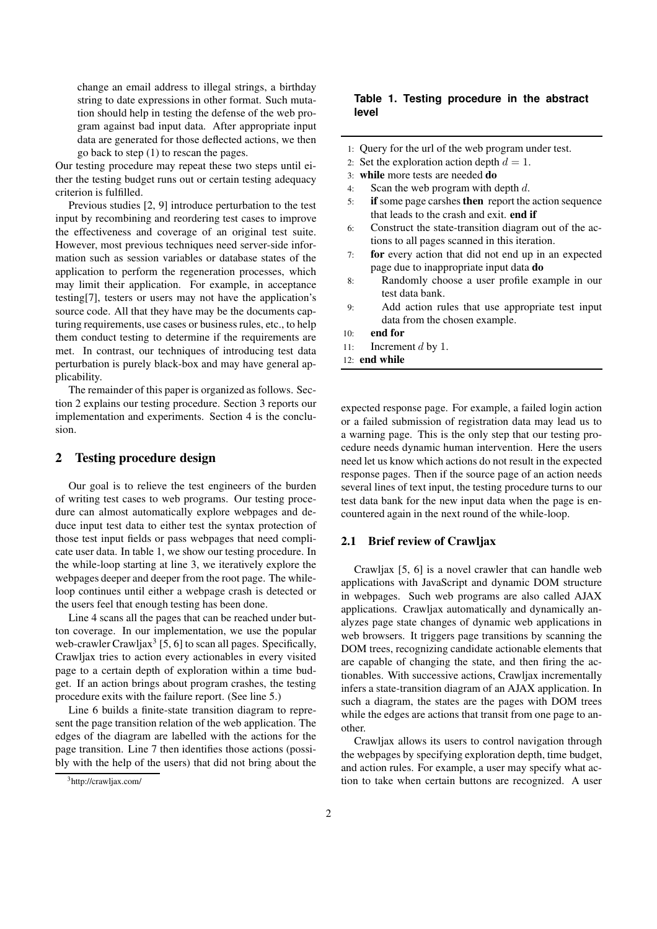change an email address to illegal strings, a birthday string to date expressions in other format. Such mutation should help in testing the defense of the web program against bad input data. After appropriate input data are generated for those deflected actions, we then go back to step (1) to rescan the pages.

Our testing procedure may repeat these two steps until either the testing budget runs out or certain testing adequacy criterion is fulfilled.

Previous studies [2, 9] introduce perturbation to the test input by recombining and reordering test cases to improve the effectiveness and coverage of an original test suite. However, most previous techniques need server-side information such as session variables or database states of the application to perform the regeneration processes, which may limit their application. For example, in acceptance testing[7], testers or users may not have the application's source code. All that they have may be the documents capturing requirements, use cases or business rules, etc., to help them conduct testing to determine if the requirements are met. In contrast, our techniques of introducing test data perturbation is purely black-box and may have general applicability.

The remainder of this paper is organized as follows. Section 2 explains our testing procedure. Section 3 reports our implementation and experiments. Section 4 is the conclusion.

# 2 Testing procedure design

Our goal is to relieve the test engineers of the burden of writing test cases to web programs. Our testing procedure can almost automatically explore webpages and deduce input test data to either test the syntax protection of those test input fields or pass webpages that need complicate user data. In table 1, we show our testing procedure. In the while-loop starting at line 3, we iteratively explore the webpages deeper and deeper from the root page. The whileloop continues until either a webpage crash is detected or the users feel that enough testing has been done.

Line 4 scans all the pages that can be reached under button coverage. In our implementation, we use the popular web-crawler Crawljax<sup>3</sup> [5, 6] to scan all pages. Specifically, Crawljax tries to action every actionables in every visited page to a certain depth of exploration within a time budget. If an action brings about program crashes, the testing procedure exits with the failure report. (See line 5.)

Line 6 builds a finite-state transition diagram to represent the page transition relation of the web application. The edges of the diagram are labelled with the actions for the page transition. Line 7 then identifies those actions (possibly with the help of the users) that did not bring about the

# **Table 1. Testing procedure in the abstract level**

- 1: Query for the url of the web program under test.
- 2: Set the exploration action depth  $d = 1$ .
- 3: while more tests are needed do
- 4: Scan the web program with depth d.
- 5: **if** some page carshes **then** report the action sequence that leads to the crash and exit. end if
- 6: Construct the state-transition diagram out of the actions to all pages scanned in this iteration.
- 7: for every action that did not end up in an expected page due to inappropriate input data do
- 8: Randomly choose a user profile example in our test data bank.
- 9: Add action rules that use appropriate test input data from the chosen example.
- 10: end for
- 11: Increment  $d$  by 1.
- 12: end while

expected response page. For example, a failed login action or a failed submission of registration data may lead us to a warning page. This is the only step that our testing procedure needs dynamic human intervention. Here the users need let us know which actions do not result in the expected response pages. Then if the source page of an action needs several lines of text input, the testing procedure turns to our test data bank for the new input data when the page is encountered again in the next round of the while-loop.

#### 2.1 Brief review of Crawljax

Crawljax [5, 6] is a novel crawler that can handle web applications with JavaScript and dynamic DOM structure in webpages. Such web programs are also called AJAX applications. Crawljax automatically and dynamically analyzes page state changes of dynamic web applications in web browsers. It triggers page transitions by scanning the DOM trees, recognizing candidate actionable elements that are capable of changing the state, and then firing the actionables. With successive actions, Crawljax incrementally infers a state-transition diagram of an AJAX application. In such a diagram, the states are the pages with DOM trees while the edges are actions that transit from one page to another.

Crawljax allows its users to control navigation through the webpages by specifying exploration depth, time budget, and action rules. For example, a user may specify what action to take when certain buttons are recognized. A user

<sup>3</sup>http://crawljax.com/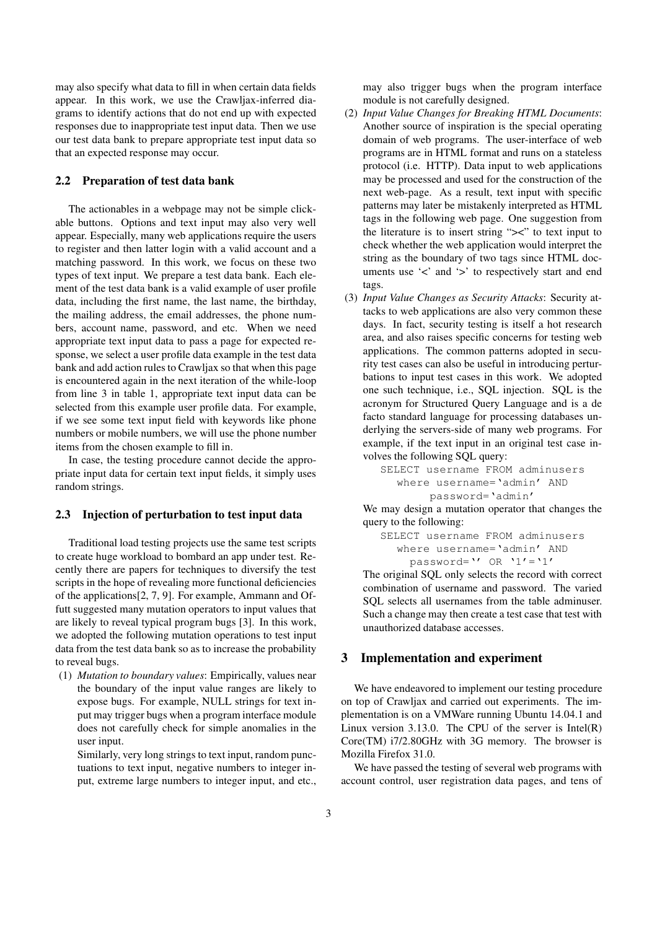may also specify what data to fill in when certain data fields appear. In this work, we use the Crawljax-inferred diagrams to identify actions that do not end up with expected responses due to inappropriate test input data. Then we use our test data bank to prepare appropriate test input data so that an expected response may occur.

# 2.2 Preparation of test data bank

The actionables in a webpage may not be simple clickable buttons. Options and text input may also very well appear. Especially, many web applications require the users to register and then latter login with a valid account and a matching password. In this work, we focus on these two types of text input. We prepare a test data bank. Each element of the test data bank is a valid example of user profile data, including the first name, the last name, the birthday, the mailing address, the email addresses, the phone numbers, account name, password, and etc. When we need appropriate text input data to pass a page for expected response, we select a user profile data example in the test data bank and add action rules to Crawljax so that when this page is encountered again in the next iteration of the while-loop from line 3 in table 1, appropriate text input data can be selected from this example user profile data. For example, if we see some text input field with keywords like phone numbers or mobile numbers, we will use the phone number items from the chosen example to fill in.

In case, the testing procedure cannot decide the appropriate input data for certain text input fields, it simply uses random strings.

# 2.3 Injection of perturbation to test input data

Traditional load testing projects use the same test scripts to create huge workload to bombard an app under test. Recently there are papers for techniques to diversify the test scripts in the hope of revealing more functional deficiencies of the applications[2, 7, 9]. For example, Ammann and Offutt suggested many mutation operators to input values that are likely to reveal typical program bugs [3]. In this work, we adopted the following mutation operations to test input data from the test data bank so as to increase the probability to reveal bugs.

(1) *Mutation to boundary values*: Empirically, values near the boundary of the input value ranges are likely to expose bugs. For example, NULL strings for text input may trigger bugs when a program interface module does not carefully check for simple anomalies in the user input.

Similarly, very long strings to text input, random punctuations to text input, negative numbers to integer input, extreme large numbers to integer input, and etc., may also trigger bugs when the program interface module is not carefully designed.

- (2) *Input Value Changes for Breaking HTML Documents*: Another source of inspiration is the special operating domain of web programs. The user-interface of web programs are in HTML format and runs on a stateless protocol (i.e. HTTP). Data input to web applications may be processed and used for the construction of the next web-page. As a result, text input with specific patterns may later be mistakenly interpreted as HTML tags in the following web page. One suggestion from the literature is to insert string " $\geq$ " to text input to check whether the web application would interpret the string as the boundary of two tags since HTML documents use '<' and '>' to respectively start and end tags.
- (3) *Input Value Changes as Security Attacks*: Security attacks to web applications are also very common these days. In fact, security testing is itself a hot research area, and also raises specific concerns for testing web applications. The common patterns adopted in security test cases can also be useful in introducing perturbations to input test cases in this work. We adopted one such technique, i.e., SQL injection. SQL is the acronym for Structured Query Language and is a de facto standard language for processing databases underlying the servers-side of many web programs. For example, if the text input in an original test case involves the following SQL query:

```
SELECT username FROM adminusers
where username='admin' AND
     password='admin'
```
We may design a mutation operator that changes the query to the following:

SELECT username FROM adminusers where username='admin' AND password='' OR '1'='1'

The original SQL only selects the record with correct combination of username and password. The varied SQL selects all usernames from the table adminuser. Such a change may then create a test case that test with unauthorized database accesses.

### 3 Implementation and experiment

We have endeavored to implement our testing procedure on top of Crawljax and carried out experiments. The implementation is on a VMWare running Ubuntu 14.04.1 and Linux version 3.13.0. The CPU of the server is Intel $(R)$ Core(TM) i7/2.80GHz with 3G memory. The browser is Mozilla Firefox 31.0.

We have passed the testing of several web programs with account control, user registration data pages, and tens of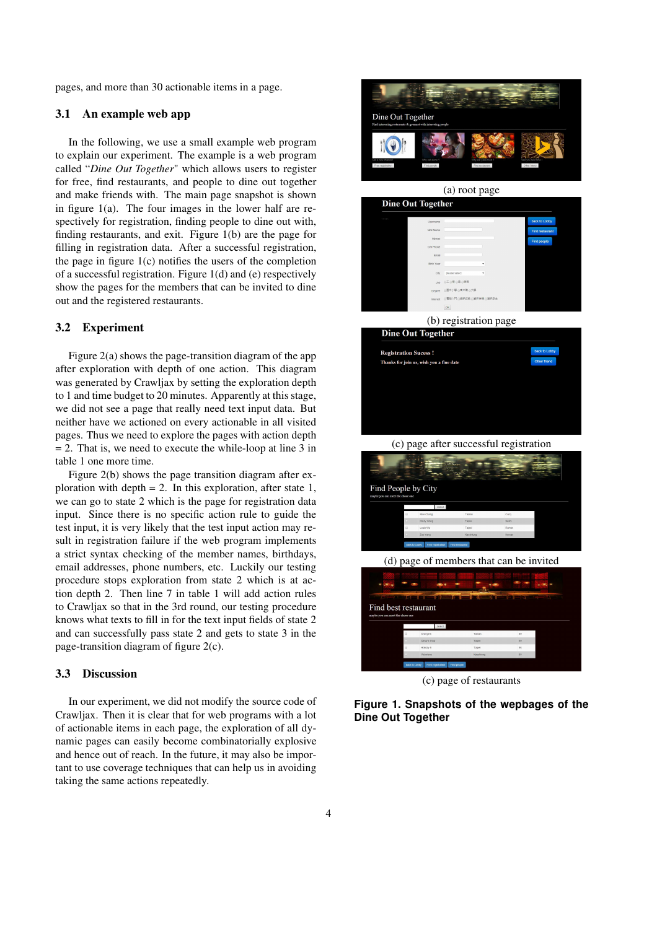pages, and more than 30 actionable items in a page.

### 3.1 An example web app

In the following, we use a small example web program to explain our experiment. The example is a web program called "*Dine Out Together*" which allows users to register for free, find restaurants, and people to dine out together and make friends with. The main page snapshot is shown in figure  $1(a)$ . The four images in the lower half are respectively for registration, finding people to dine out with, finding restaurants, and exit. Figure 1(b) are the page for filling in registration data. After a successful registration, the page in figure  $1(c)$  notifies the users of the completion of a successful registration. Figure 1(d) and (e) respectively show the pages for the members that can be invited to dine out and the registered restaurants.

#### 3.2 Experiment

Figure 2(a) shows the page-transition diagram of the app after exploration with depth of one action. This diagram was generated by Crawljax by setting the exploration depth to 1 and time budget to 20 minutes. Apparently at this stage, we did not see a page that really need text input data. But neither have we actioned on every actionable in all visited pages. Thus we need to explore the pages with action depth  $= 2$ . That is, we need to execute the while-loop at line 3 in table 1 one more time.

Figure 2(b) shows the page transition diagram after exploration with depth  $= 2$ . In this exploration, after state 1, we can go to state 2 which is the page for registration data input. Since there is no specific action rule to guide the test input, it is very likely that the test input action may result in registration failure if the web program implements a strict syntax checking of the member names, birthdays, email addresses, phone numbers, etc. Luckily our testing procedure stops exploration from state 2 which is at action depth 2. Then line 7 in table 1 will add action rules to Crawljax so that in the 3rd round, our testing procedure knows what texts to fill in for the text input fields of state 2 and can successfully pass state 2 and gets to state 3 in the page-transition diagram of figure 2(c).

#### 3.3 Discussion

In our experiment, we did not modify the source code of Crawljax. Then it is clear that for web programs with a lot of actionable items in each page, the exploration of all dynamic pages can easily become combinatorially explosive and hence out of reach. In the future, it may also be important to use coverage techniques that can help us in avoiding taking the same actions repeatedly.



(c) page of restaurants